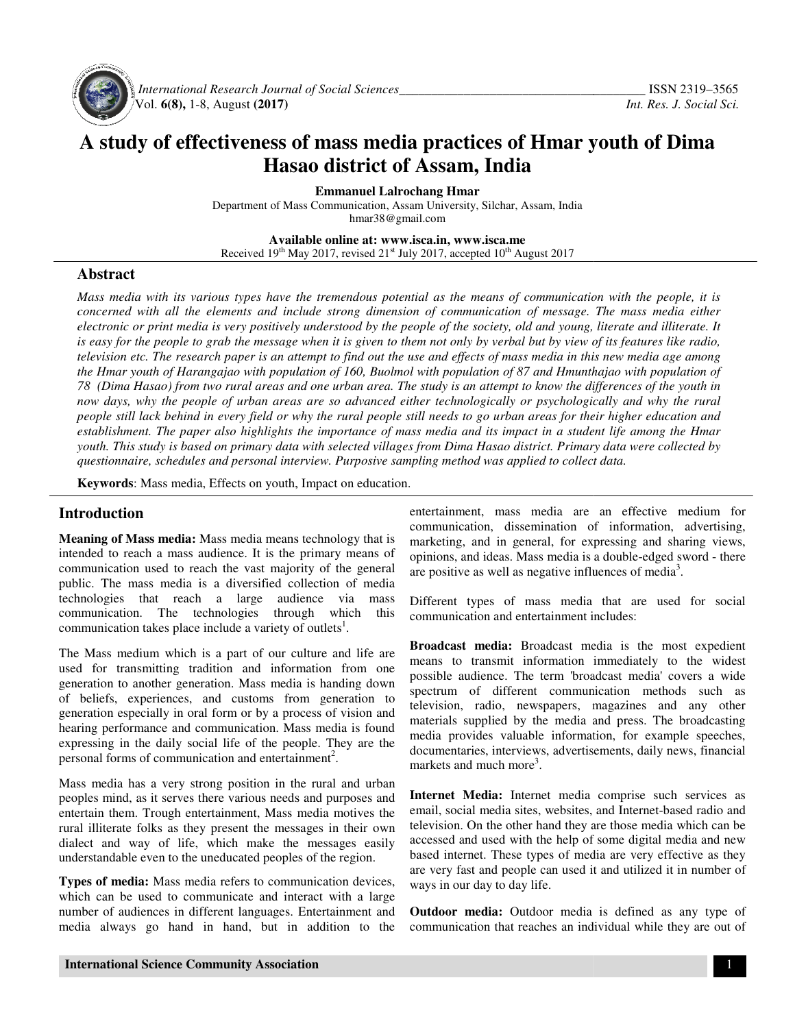

 *International Research Journal Journal of Social Sciences\_\_\_\_\_\_\_\_\_\_\_\_\_\_\_\_\_\_\_\_\_\_\_\_\_\_\_\_\_\_\_\_\_\_\_* Vol. **6(8),** 1-8, August **(2017)** 

# **A study of effectiveness of mass media practices of Hmar youth of Dima effectiveness district Assam, India Hasao district of Assam**

**Emmanuel Lalrochang Hmar** 

Department of Mass Communication, Assam University, Silchar, Assam, India hmar38@gmail.com

**Available Available online at: www.isca.in, www.isca.me**  Received  $19<sup>th</sup>$  May 2017, revised  $21<sup>st</sup>$  July 2017, accepted  $10<sup>th</sup>$  August 2017

## **Abstract**

*Mass media with its various types have the tremendous potential as the means of communication with the people, it is concerned with all the elements and include strong dimension of communication of message. The mass media either electronic or print media is very positively understood by the people of the society, old and young, literate and illiterate. It is easy for the people to grab the message when it is given to them not only by verbal but by view of its features like radio s radio, television etc. The research paper is an attempt to find out the use and effects of mass media in this new media age among the Hmar youth of Harangajao with population of 160, Buolmol with population of 87 and Hmunthajao with population of 78 (Dima Hasao) from two rural areas and o now days, why the people of urban areas are so advanced either technologically or psychologically and why the rural* now days, why the people of urban areas are so advanced either technologically or psychologically and why the rural<br>people still lack behind in every field or why the rural people still needs to go urban areas for their hi *establishment. The paper also highlights the importance of mass media and its impact in a student life among the Hmar*  establishment. The paper also highlights the importance of mass media and its impact in a student life among the Hmar<br>youth. This study is based on primary data with selected villages from Dima Hasao district. Primary data *questionnaire, schedules and personal interview. Purposive sampling method was applied to collect data. personal sampling method was applied poterial in its various types have the tremendous potential as the means of communication with the people, it is poter with all the elements and include strong dimension of communication of message. The mass media eithe ne urban area. The study is an attempt to know the differences of the*<br>*ie so advanced either technologically or psychologically and why ti*<br>*the rural people still needs to go urban areas for their higher educa.*<br>*import* 

Keywords: Mass media, Effects on youth, Impact on education.

#### **Introduction**

**Meaning of Mass media:** Mass media means technology that is intended to reach a mass audience. It is the primary means of communication used to reach the vast majority of the general public. The mass media is a diversified collection of media technologies that reach a large audience via mass communication. The technologies through which this communication takes place include a variety of outlets . **Meaning of Mass media:** Mass media means technology that intended to reach a mass audience. It is the primary means communication used to reach the vast majority of the gener public. The mass media is a diversified collec

The Mass medium which is a part of our culture and life are used for transmitting tradition and information from one generation to another generation. Mass media is handing down of beliefs, experiences, and customs from generation to generation especially in oral form or by a process of vision and hearing performance and communication. Mass media is expressing in the daily social life of the people. They are the personal forms of communication and entertainment<sup>2</sup>. personal forms of communication and entertainment . The Mass medium which is a part of our culture and life are used for transmitting tradition and information from one generation to another generation. Mass media is handing down of beliefs, experiences, and customs from ge continuo entino entino entino entino entincular contrainment, mass media are an effect of Mass media are an effect of the vast majority of the general are positive as well as a conferent of reach a mass and<br>ience. It is th

Mass media has a very strong position in the rural and urban peoples mind, as it serves there various needs and purposes and entertain them. Trough entertainment, Mass media motives the rural illiterate folks as they present the messages in their own dialect and way of life, which make the messages easily understandable even to the uneducated peoples of the region. Mass media has a very strong position in the rural and ur<br>peoples mind, as it serves there various needs and purposes<br>entertain them. Trough entertainment, Mass media motives<br>rural illiterate folks as they present the mess

**Types of media:** Mass media refers to communication devices, which can be used to communicate and interact with a large number of audiences in different languages. Entertainment and media always go hand in hand, but in addition to the communication, dissemination of information, advertising, marketing, and in general, for expressing and sharing views, communication, dissemination of information, advertising, marketing, and in general, for expressing and sharing views, opinions, and ideas. Mass media is a double-edged sword - there are positive as well as negative influences of media<sup>3</sup>. entertainment, mass media are an effective medium for

Different types of mass media that are used for social communication and entertainment includes:

**Broadcast media:** Broadcast media is the most expedient means to transmit information immediately to the widest possible audience. The term 'broadcast media' c spectrum of different communication methods such as television, radio, newspapers, magazines and any other television, radio, newspapers, magazines and any other materials supplied by the media and press. The broadcasting media provides valuable information, for example speeches, documentaries, interviews, advertisements, daily news, financial markets and much more<sup>3</sup>. ifferent types of mass media that are used for social<br>ommunication and entertainment includes:<br>**roadcast media:** Broadcast media is the most expedient<br>eans to transmit information immediately to the widest<br>ossible audience media provides valuable information, for example speeches, documentaries, interviews, advertisements, daily news, financial markets and much more<sup>3</sup>.<br> **Internet-Media:** Internet-media comprise such services as email, socia

**Internet Media:** Internet media comprise such services as email, social media sites, websites, and Internet television. On the other hand they are those media which can be accessed and used with the help of some digital media and new based internet. These types of media are very effective as they are very fast and people can used it and utilized it in number of ways in our day to day life. accessed and used with the help of some digital media and new<br>based internet. These types of media are very effective as they<br>are very fast and people can used it and utilized it in number of<br>ways in our day to day life.<br>

**Outdoor media:** Outdoor media is defined as any type of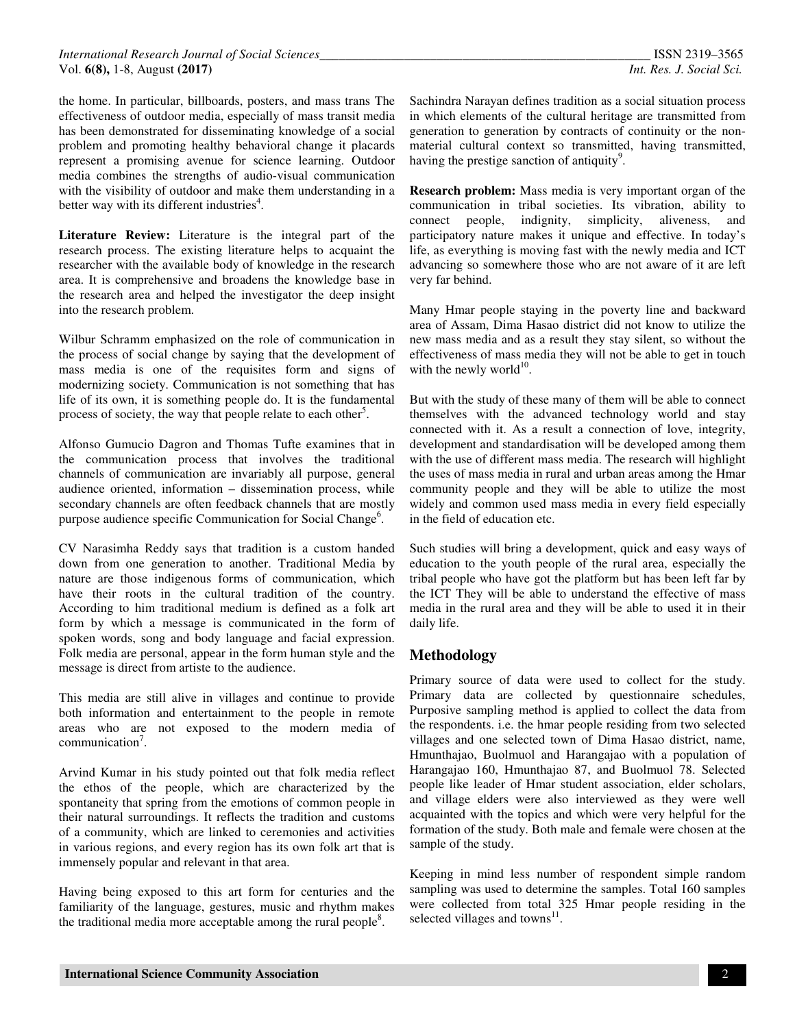the home. In particular, billboards, posters, and mass trans The effectiveness of outdoor media, especially of mass transit media has been demonstrated for disseminating knowledge of a social problem and promoting healthy behavioral change it placards represent a promising avenue for science learning. Outdoor media combines the strengths of audio-visual communication with the visibility of outdoor and make them understanding in a better way with its different industries<sup>4</sup>.

**Literature Review:** Literature is the integral part of the research process. The existing literature helps to acquaint the researcher with the available body of knowledge in the research area. It is comprehensive and broadens the knowledge base in the research area and helped the investigator the deep insight into the research problem.

Wilbur Schramm emphasized on the role of communication in the process of social change by saying that the development of mass media is one of the requisites form and signs of modernizing society. Communication is not something that has life of its own, it is something people do. It is the fundamental process of society, the way that people relate to each other<sup>5</sup>.

Alfonso Gumucio Dagron and Thomas Tufte examines that in the communication process that involves the traditional channels of communication are invariably all purpose, general audience oriented, information – dissemination process, while secondary channels are often feedback channels that are mostly purpose audience specific Communication for Social Change<sup>6</sup>.

CV Narasimha Reddy says that tradition is a custom handed down from one generation to another. Traditional Media by nature are those indigenous forms of communication, which have their roots in the cultural tradition of the country. According to him traditional medium is defined as a folk art form by which a message is communicated in the form of spoken words, song and body language and facial expression. Folk media are personal, appear in the form human style and the message is direct from artiste to the audience.

This media are still alive in villages and continue to provide both information and entertainment to the people in remote areas who are not exposed to the modern media of communication<sup>7</sup>.

Arvind Kumar in his study pointed out that folk media reflect the ethos of the people, which are characterized by the spontaneity that spring from the emotions of common people in their natural surroundings. It reflects the tradition and customs of a community, which are linked to ceremonies and activities in various regions, and every region has its own folk art that is immensely popular and relevant in that area.

Having being exposed to this art form for centuries and the familiarity of the language, gestures, music and rhythm makes the traditional media more acceptable among the rural people $8$ .

Sachindra Narayan defines tradition as a social situation process in which elements of the cultural heritage are transmitted from generation to generation by contracts of continuity or the nonmaterial cultural context so transmitted, having transmitted, having the prestige sanction of antiquity<sup>9</sup>.

**Research problem:** Mass media is very important organ of the communication in tribal societies. Its vibration, ability to connect people, indignity, simplicity, aliveness, and participatory nature makes it unique and effective. In today's life, as everything is moving fast with the newly media and ICT advancing so somewhere those who are not aware of it are left very far behind.

Many Hmar people staying in the poverty line and backward area of Assam, Dima Hasao district did not know to utilize the new mass media and as a result they stay silent, so without the effectiveness of mass media they will not be able to get in touch with the newly world $^{10}$ .

But with the study of these many of them will be able to connect themselves with the advanced technology world and stay connected with it. As a result a connection of love, integrity, development and standardisation will be developed among them with the use of different mass media. The research will highlight the uses of mass media in rural and urban areas among the Hmar community people and they will be able to utilize the most widely and common used mass media in every field especially in the field of education etc.

Such studies will bring a development, quick and easy ways of education to the youth people of the rural area, especially the tribal people who have got the platform but has been left far by the ICT They will be able to understand the effective of mass media in the rural area and they will be able to used it in their daily life.

## **Methodology**

Primary source of data were used to collect for the study. Primary data are collected by questionnaire schedules, Purposive sampling method is applied to collect the data from the respondents. i.e. the hmar people residing from two selected villages and one selected town of Dima Hasao district, name, Hmunthajao, Buolmuol and Harangajao with a population of Harangajao 160, Hmunthajao 87, and Buolmuol 78. Selected people like leader of Hmar student association, elder scholars, and village elders were also interviewed as they were well acquainted with the topics and which were very helpful for the formation of the study. Both male and female were chosen at the sample of the study.

Keeping in mind less number of respondent simple random sampling was used to determine the samples. Total 160 samples were collected from total 325 Hmar people residing in the selected villages and towns $^{11}$ .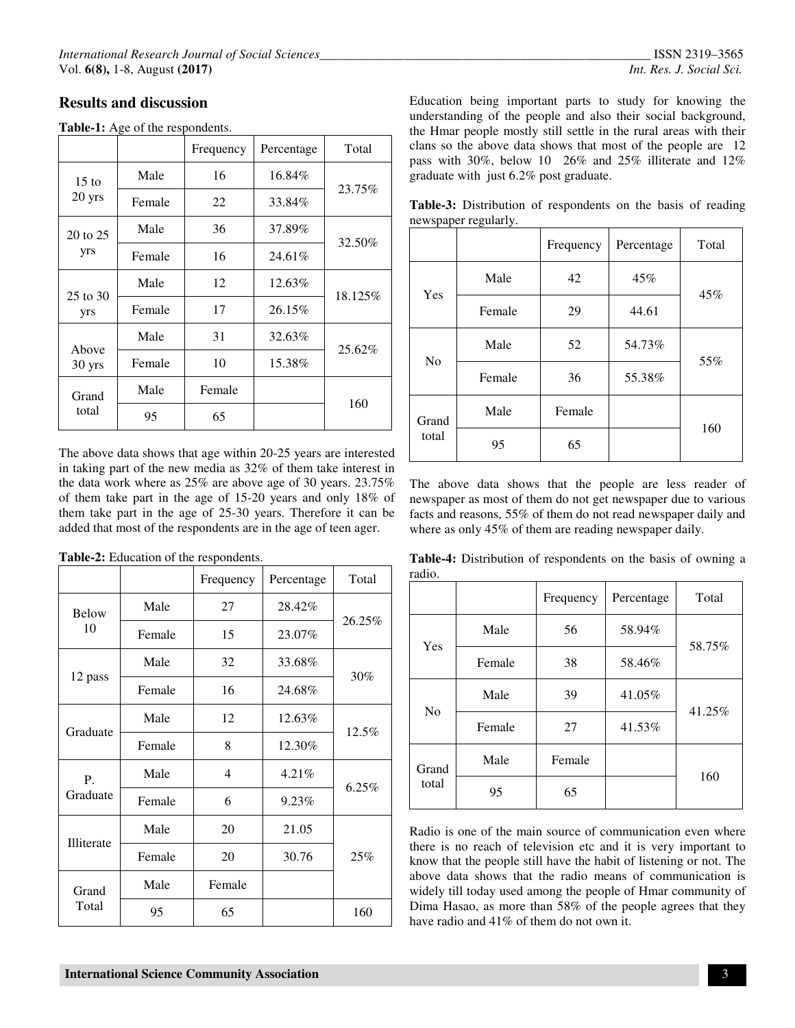## **Results and discussion**

#### **Table-1:** Age of the respondents.

|                 |        | Frequency | Percentage | Total   |
|-----------------|--------|-----------|------------|---------|
| $15 \text{ to}$ | Male   | 16        | 16.84%     | 23.75%  |
| 20 yrs          | Female | 22        | 33.84%     |         |
| 20 to 25        | Male   | 36        | 37.89%     | 32.50%  |
| yrs             | Female | 16        | 24.61%     |         |
| 25 to 30<br>yrs | Male   | 12        | 12.63%     | 18.125% |
|                 | Female | 17        | 26.15%     |         |
| Above           | Male   | 31        | 32.63%     | 25.62%  |
| 30 yrs          | Female | 10        | 15.38%     |         |
| Grand           | Male   | Female    |            | 160     |
| total           | 95     | 65        |            |         |

The above data shows that age within 20-25 years are interested in taking part of the new media as 32% of them take interest in the data work where as 25% are above age of 30 years. 23.75% of them take part in the age of 15-20 years and only 18% of them take part in the age of 25-30 years. Therefore it can be added that most of the respondents are in the age of teen ager.

|                   |        | Frequency | Percentage | Total  |
|-------------------|--------|-----------|------------|--------|
| Below             | Male   | 27        | 28.42%     | 26.25% |
| 10                | Female | 15        | 23.07%     |        |
|                   | Male   | 32        | 33.68%     | 30%    |
| 12 pass           | Female | 16        | 24.68%     |        |
|                   | Male   | 12        | 12.63%     | 12.5%  |
| Graduate          | Female | 8         | 12.30%     |        |
| Ρ.                | Male   | 4         | 4.21%      |        |
| Graduate          | Female | 6         | 9.23%      | 6.25%  |
| <b>Illiterate</b> | Male   | 20        | 21.05      |        |
|                   | Female | 20        | 30.76      | 25%    |
| Grand             | Male   | Female    |            |        |
| Total             | 95     | 65        |            | 160    |

Education being important parts to study for knowing the understanding of the people and also their social background, the Hmar people mostly still settle in the rural areas with their clans so the above data shows that most of the people are 12 pass with 30%, below 10 26% and 25% illiterate and 12% graduate with just 6.2% post graduate.

**Table-3:** Distribution of respondents on the basis of reading newspaper regularly.

|                |        | Frequency | Percentage | Total |
|----------------|--------|-----------|------------|-------|
| Yes            | Male   | 42        | 45%        | 45%   |
|                | Female | 29        | 44.61      |       |
| N <sub>0</sub> | Male   | 52        | 54.73%     | 55%   |
|                | Female | 36        | 55.38%     |       |
| Grand<br>total | Male   | Female    |            | 160   |
|                | 95     | 65        |            |       |

The above data shows that the people are less reader of newspaper as most of them do not get newspaper due to various facts and reasons, 55% of them do not read newspaper daily and where as only 45% of them are reading newspaper daily.

**Table-4:** Distribution of respondents on the basis of owning a radio.

|                |        | Frequency | Percentage | Total  |
|----------------|--------|-----------|------------|--------|
| Yes            | Male   | 56        | 58.94%     | 58.75% |
|                | Female | 38        | 58.46%     |        |
| N <sub>o</sub> | Male   | 39        | 41.05%     | 41.25% |
|                | Female | 27        | 41.53%     |        |
| Grand<br>total | Male   | Female    |            | 160    |
|                | 95     | 65        |            |        |

Radio is one of the main source of communication even where there is no reach of television etc and it is very important to know that the people still have the habit of listening or not. The above data shows that the radio means of communication is widely till today used among the people of Hmar community of Dima Hasao, as more than 58% of the people agrees that they have radio and 41% of them do not own it.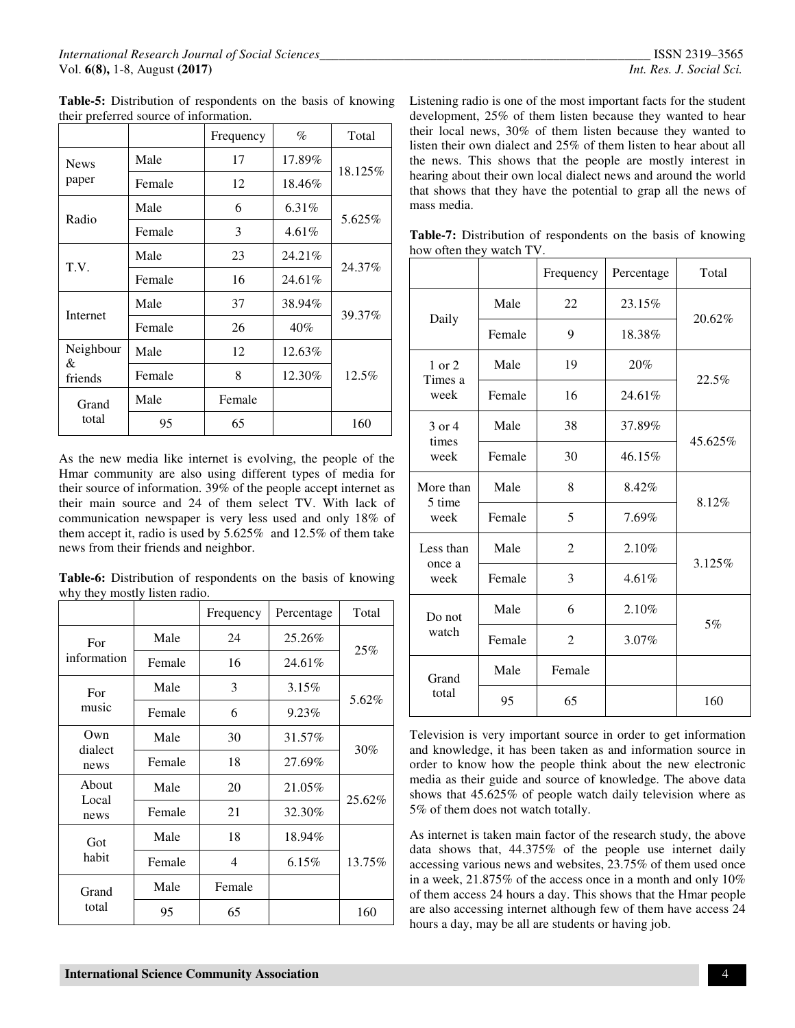|                |        | Frequency | $\%$   | Total   |
|----------------|--------|-----------|--------|---------|
| <b>News</b>    | Male   | 17        | 17.89% | 18.125% |
| paper          | Female | 12        | 18.46% |         |
| Radio          | Male   | 6         | 6.31%  | 5.625%  |
|                | Female | 3         | 4.61%  |         |
| T.V.           | Male   | 23        | 24.21% | 24.37%  |
|                | Female | 16        | 24.61% |         |
|                | Male   | 37        | 38.94% | 39.37%  |
| Internet       | Female | 26        | 40%    |         |
| Neighbour<br>& | Male   | 12        | 12.63% |         |
| friends        | Female | 8         | 12.30% | 12.5%   |
| Grand          | Male   | Female    |        |         |
| total          | 95     | 65        |        | 160     |

**Table-5:** Distribution of respondents on the basis of knowing their preferred source of information.

As the new media like internet is evolving, the people of the Hmar community are also using different types of media for their source of information. 39% of the people accept internet as their main source and 24 of them select TV. With lack of communication newspaper is very less used and only 18% of them accept it, radio is used by 5.625% and 12.5% of them take news from their friends and neighbor.

**Table-6:** Distribution of respondents on the basis of knowing why they mostly listen radio.

|                 |        | Frequency | Percentage | Total  |
|-----------------|--------|-----------|------------|--------|
| For             | Male   | 24        | 25.26%     |        |
| information     | Female | 16        | 24.61%     | 25%    |
| For             | Male   | 3         | $3.15\%$   | 5.62%  |
| music           | Female | 6         | 9.23%      |        |
| Own             | Male   | 30        | 31.57%     |        |
| dialect<br>news | Female | 18        | 27.69%     | 30%    |
| About           | Male   | 20        | 21.05%     | 25.62% |
| Local<br>news   | Female | 21        | 32.30%     |        |
| Got             | Male   | 18        | 18.94%     |        |
| habit           | Female | 4         | $6.15\%$   | 13.75% |
| Grand           | Male   | Female    |            |        |
| total           | 95     | 65        |            | 160    |

Listening radio is one of the most important facts for the student development, 25% of them listen because they wanted to hear their local news, 30% of them listen because they wanted to listen their own dialect and 25% of them listen to hear about all the news. This shows that the people are mostly interest in hearing about their own local dialect news and around the world that shows that they have the potential to grap all the news of mass media.

**Table-7:** Distribution of respondents on the basis of knowing how often they watch TV.

|                 |        | Frequency      | Percentage | Total   |
|-----------------|--------|----------------|------------|---------|
|                 | Male   | 22             | 23.15%     | 20.62%  |
| Daily           | Female | 9              | 18.38%     |         |
| $1$ or $2$      | Male   | 19             | 20%        |         |
| Times a<br>week | Female | 16             | 24.61%     | 22.5%   |
| $3$ or $4$      | Male   | 38             | 37.89%     |         |
| times<br>week   | Female | 30             | 46.15%     | 45.625% |
| More than       | Male   | 8              | 8.42%      | 8.12%   |
| 5 time<br>week  | Female | 5              | 7.69%      |         |
| Less than       | Male   | $\mathfrak{D}$ | 2.10%      |         |
| once a<br>week  | Female | 3              | 4.61%      | 3.125%  |
| Do not<br>watch | Male   | 6              | 2.10%      |         |
|                 | Female | $\overline{2}$ | 3.07%      | 5%      |
| Grand           | Male   | Female         |            |         |
| total           | 95     | 65             |            | 160     |

Television is very important source in order to get information and knowledge, it has been taken as and information source in order to know how the people think about the new electronic media as their guide and source of knowledge. The above data shows that 45.625% of people watch daily television where as 5% of them does not watch totally.

As internet is taken main factor of the research study, the above data shows that, 44.375% of the people use internet daily accessing various news and websites, 23.75% of them used once in a week, 21.875% of the access once in a month and only 10% of them access 24 hours a day. This shows that the Hmar people are also accessing internet although few of them have access 24 hours a day, may be all are students or having job.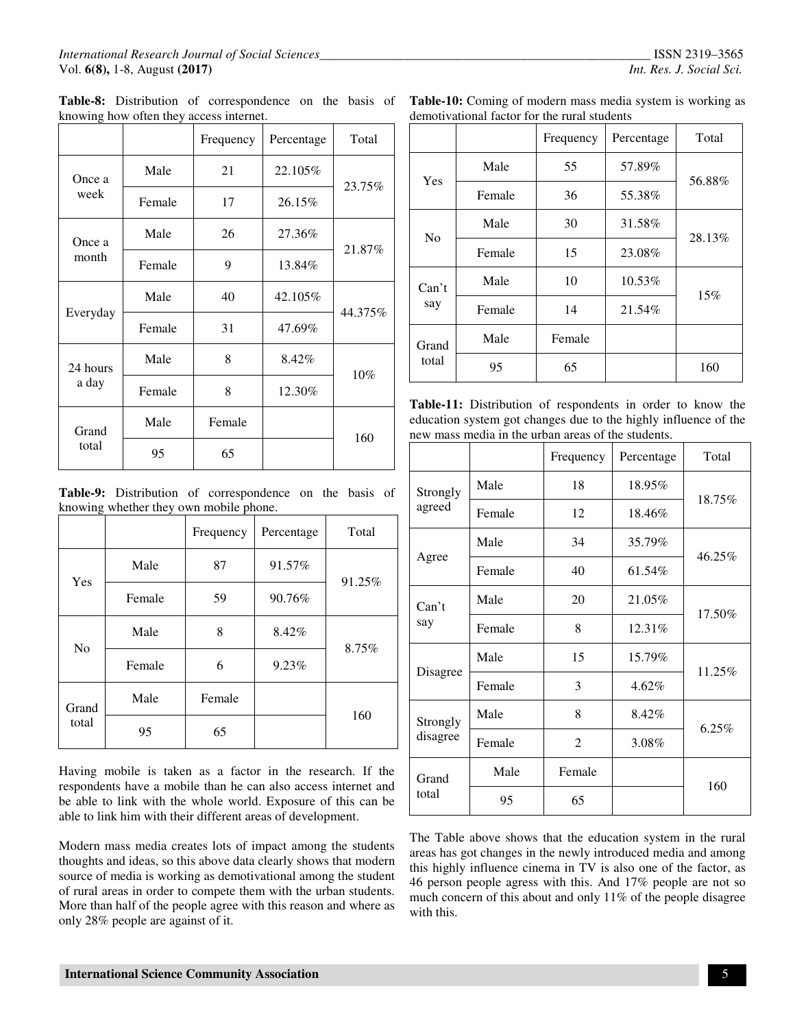|                   |        | Frequency | Percentage | Total   |
|-------------------|--------|-----------|------------|---------|
| Once a            | Male   | 21        | 22.105%    |         |
| week              | Female | 17        | 26.15%     | 23.75%  |
| Once a            | Male   | 26        | 27.36%     |         |
| month             | Female | 9         | 13.84%     | 21.87%  |
| Everyday          | Male   | 40        | 42.105%    | 44.375% |
|                   | Female | 31        | 47.69%     |         |
| 24 hours<br>a day | Male   | 8         | 8.42%      | $10\%$  |
|                   | Female | 8         | 12.30%     |         |
| Grand             | Male   | Female    |            | 160     |
| total             | 95     | 65        |            |         |

**Table-8:** Distribution of correspondence on the basis of knowing how often they access internet.

**Table-9:** Distribution of correspondence on the basis of knowing whether they own mobile phone.

|                |        | Frequency | Percentage | Total  |
|----------------|--------|-----------|------------|--------|
|                | Male   | 87        | 91.57%     | 91.25% |
| Yes            | Female | 59        | 90.76%     |        |
| No             | Male   | 8         | 8.42%      | 8.75%  |
|                | Female | 6         | 9.23%      |        |
| Grand<br>total | Male   | Female    |            | 160    |
|                | 95     | 65        |            |        |

Having mobile is taken as a factor in the research. If the respondents have a mobile than he can also access internet and be able to link with the whole world. Exposure of this can be able to link him with their different areas of development.

Modern mass media creates lots of impact among the students thoughts and ideas, so this above data clearly shows that modern source of media is working as demotivational among the student of rural areas in order to compete them with the urban students. More than half of the people agree with this reason and where as only 28% people are against of it.

| Table-10: Coming of modern mass media system is working as |  |
|------------------------------------------------------------|--|
| demotivational factor for the rural students               |  |

|                |        | Frequency | Percentage | Total  |
|----------------|--------|-----------|------------|--------|
| Yes            | Male   | 55        | 57.89%     | 56.88% |
|                | Female | 36        | 55.38%     |        |
| No             | Male   | 30        | 31.58%     | 28.13% |
|                | Female | 15        | 23.08%     |        |
| Can't<br>say   | Male   | 10        | 10.53%     | 15%    |
|                | Female | 14        | 21.54%     |        |
| Grand<br>total | Male   | Female    |            |        |
|                | 95     | 65        |            | 160    |

**Table-11:** Distribution of respondents in order to know the education system got changes due to the highly influence of the new mass media in the urban areas of the students.

|                      |        | Frequency      | Percentage | Total  |
|----------------------|--------|----------------|------------|--------|
| Strongly<br>agreed   | Male   | 18             | 18.95%     | 18.75% |
|                      | Female | 12             | 18.46%     |        |
| Agree                | Male   | 34             | 35.79%     | 46.25% |
|                      | Female | 40             | 61.54%     |        |
| Can't<br>say         | Male   | 20             | 21.05%     | 17.50% |
|                      | Female | 8              | 12.31%     |        |
| Disagree             | Male   | 15             | 15.79%     | 11.25% |
|                      | Female | 3              | $4.62\%$   |        |
| Strongly<br>disagree | Male   | 8              | 8.42%      | 6.25%  |
|                      | Female | $\overline{2}$ | 3.08%      |        |
| Grand<br>total       | Male   | Female         |            | 160    |
|                      | 95     | 65             |            |        |

The Table above shows that the education system in the rural areas has got changes in the newly introduced media and among this highly influence cinema in TV is also one of the factor, as 46 person people agress with this. And 17% people are not so much concern of this about and only 11% of the people disagree with this.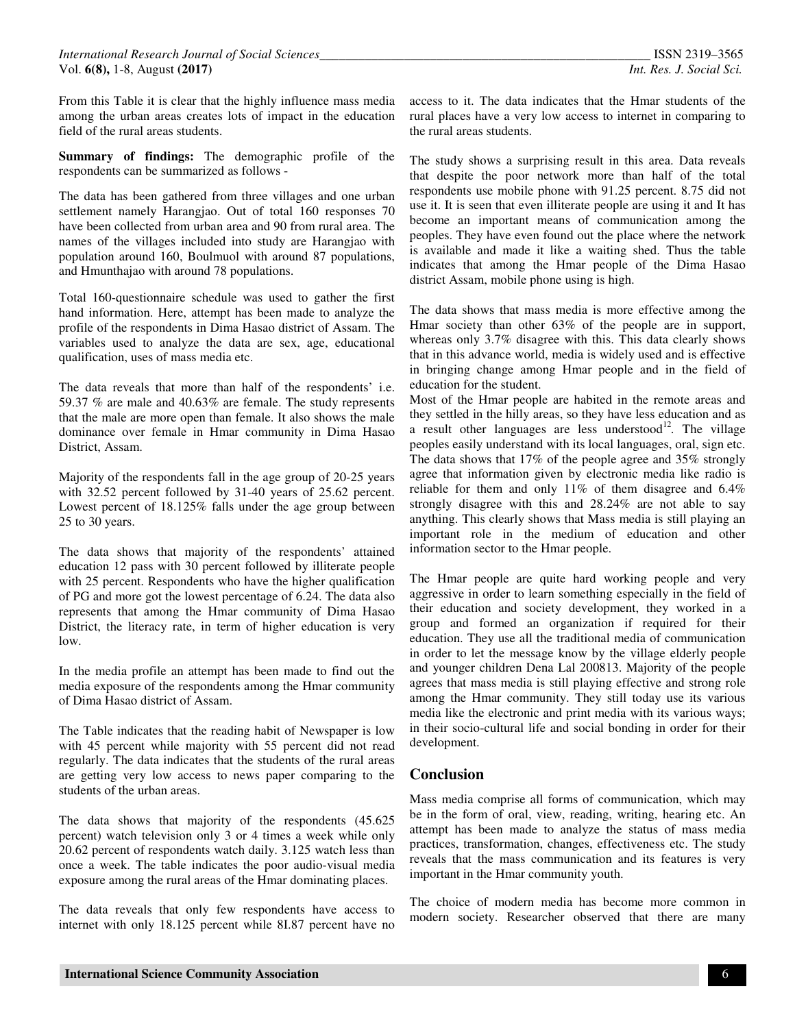From this Table it is clear that the highly influence mass media among the urban areas creates lots of impact in the education field of the rural areas students.

**Summary of findings:** The demographic profile of the respondents can be summarized as follows -

The data has been gathered from three villages and one urban settlement namely Harangjao. Out of total 160 responses 70 have been collected from urban area and 90 from rural area. The names of the villages included into study are Harangjao with population around 160, Boulmuol with around 87 populations, and Hmunthajao with around 78 populations.

Total 160-questionnaire schedule was used to gather the first hand information. Here, attempt has been made to analyze the profile of the respondents in Dima Hasao district of Assam. The variables used to analyze the data are sex, age, educational qualification, uses of mass media etc.

The data reveals that more than half of the respondents' i.e. 59.37 % are male and 40.63% are female. The study represents that the male are more open than female. It also shows the male dominance over female in Hmar community in Dima Hasao District, Assam.

Majority of the respondents fall in the age group of 20-25 years with 32.52 percent followed by 31-40 years of 25.62 percent. Lowest percent of 18.125% falls under the age group between 25 to 30 years.

The data shows that majority of the respondents' attained education 12 pass with 30 percent followed by illiterate people with 25 percent. Respondents who have the higher qualification of PG and more got the lowest percentage of 6.24. The data also represents that among the Hmar community of Dima Hasao District, the literacy rate, in term of higher education is very low.

In the media profile an attempt has been made to find out the media exposure of the respondents among the Hmar community of Dima Hasao district of Assam.

The Table indicates that the reading habit of Newspaper is low with 45 percent while majority with 55 percent did not read regularly. The data indicates that the students of the rural areas are getting very low access to news paper comparing to the students of the urban areas.

The data shows that majority of the respondents (45.625 percent) watch television only 3 or 4 times a week while only 20.62 percent of respondents watch daily. 3.125 watch less than once a week. The table indicates the poor audio-visual media exposure among the rural areas of the Hmar dominating places.

The data reveals that only few respondents have access to internet with only 18.125 percent while 8I.87 percent have no access to it. The data indicates that the Hmar students of the rural places have a very low access to internet in comparing to the rural areas students.

The study shows a surprising result in this area. Data reveals that despite the poor network more than half of the total respondents use mobile phone with 91.25 percent. 8.75 did not use it. It is seen that even illiterate people are using it and It has become an important means of communication among the peoples. They have even found out the place where the network is available and made it like a waiting shed. Thus the table indicates that among the Hmar people of the Dima Hasao district Assam, mobile phone using is high.

The data shows that mass media is more effective among the Hmar society than other 63% of the people are in support, whereas only 3.7% disagree with this. This data clearly shows that in this advance world, media is widely used and is effective in bringing change among Hmar people and in the field of education for the student.

Most of the Hmar people are habited in the remote areas and they settled in the hilly areas, so they have less education and as a result other languages are less understood<sup>12</sup>. The village peoples easily understand with its local languages, oral, sign etc. The data shows that 17% of the people agree and 35% strongly agree that information given by electronic media like radio is reliable for them and only 11% of them disagree and 6.4% strongly disagree with this and 28.24% are not able to say anything. This clearly shows that Mass media is still playing an important role in the medium of education and other information sector to the Hmar people.

The Hmar people are quite hard working people and very aggressive in order to learn something especially in the field of their education and society development, they worked in a group and formed an organization if required for their education. They use all the traditional media of communication in order to let the message know by the village elderly people and younger children Dena Lal 200813. Majority of the people agrees that mass media is still playing effective and strong role among the Hmar community. They still today use its various media like the electronic and print media with its various ways; in their socio-cultural life and social bonding in order for their development.

## **Conclusion**

Mass media comprise all forms of communication, which may be in the form of oral, view, reading, writing, hearing etc. An attempt has been made to analyze the status of mass media practices, transformation, changes, effectiveness etc. The study reveals that the mass communication and its features is very important in the Hmar community youth.

The choice of modern media has become more common in modern society. Researcher observed that there are many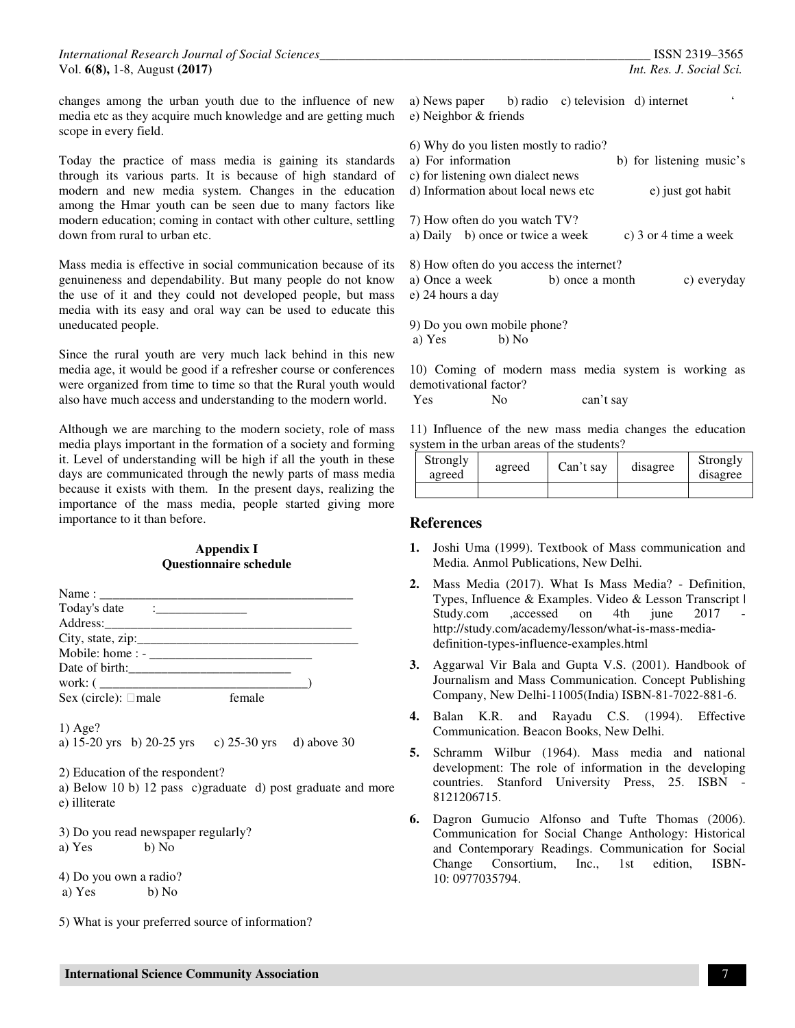changes among the urban youth due to the influence of new media etc as they acquire much knowledge and are getting much scope in every field.

Today the practice of mass media is gaining its standard through its various parts. It is because of high standard of modern and new media system. Changes in the education among the Hmar youth can be seen due to many factors like modern education; coming in contact with other culture, settling down from rural to urban etc.

Mass media is effective in social communication because of its genuineness and dependability. But many people do not know the use of it and they could not developed people, but mass media with its easy and oral way can be used to educate this uneducated people.

Since the rural youth are very much lack behind in this new media age, it would be good if a refresher course or conferences were organized from time to time so that the Rural youth would also have much access and understanding to the modern world.

Although we are marching to the modern society, role of mass media plays important in the formation of a society and forming it. Level of understanding will be high if all the youth in these days are communicated through the newly parts of mass media because it exists with them. In the present days, realizing the importance of the mass media, people started giving more importance to it than before.

#### **Appendix I Questionnaire schedule**

| Today's date $\qquad \qquad \qquad =$                                                                                                                             |
|-------------------------------------------------------------------------------------------------------------------------------------------------------------------|
|                                                                                                                                                                   |
|                                                                                                                                                                   |
|                                                                                                                                                                   |
|                                                                                                                                                                   |
|                                                                                                                                                                   |
| Sex (circle): male female                                                                                                                                         |
| $1)$ Age?<br>a) 15-20 yrs b) 20-25 yrs c) 25-30 yrs d) above 30<br>2) Education of the respondent?<br>a) Below 10 b) 12 pass c)graduate d) post graduate and more |
| e) illiterate                                                                                                                                                     |
| 3) Do you read newspaper regularly?<br>a) Yes b) No                                                                                                               |
| 4) Do you own a radio?<br>a) Yes b) No                                                                                                                            |
| 5) What is your preferred source of information?                                                                                                                  |

| N  | $\pmb{\zeta}$<br>a) News paper b) radio c) television d) internet |
|----|-------------------------------------------------------------------|
| h  | e) Neighbor & friends                                             |
|    | 6) Why do you listen mostly to radio?                             |
| ls | b) for listening music's<br>a) For information                    |
| υf | c) for listening own dialect news                                 |
| n  | d) Information about local news etc<br>e) just got habit          |
| e  |                                                                   |
| g  | 7) How often do you watch TV?                                     |
|    | a) Daily b) once or twice a week<br>c) 3 or 4 time a week         |
| S  | 8) How often do you access the internet?                          |
| N  | a) Once a week<br>b) once a month<br>c) everyday                  |
| S. | e) 24 hours a day                                                 |
| S  |                                                                   |

9) Do you own mobile phone? a) Yes b) No

10) Coming of modern mass media system is working as demotivational factor?

Yes No can't say

11) Influence of the new mass media changes the education system in the urban areas of the students?

| Strongly<br>agreed | agreed | Can't say | disagree | Strongly<br>disagree |
|--------------------|--------|-----------|----------|----------------------|
|                    |        |           |          |                      |

#### **References**

- **1.** Joshi Uma (1999). Textbook of Mass communication and Media. Anmol Publications, New Delhi.
- **2.** Mass Media (2017). What Is Mass Media? Definition, Types, Influence & Examples. Video & Lesson Transcript | Study.com ,accessed on 4th june 2017 http://study.com/academy/lesson/what-is-mass-mediadefinition-types-influence-examples.html
- **3.** Aggarwal Vir Bala and Gupta V.S. (2001). Handbook of Journalism and Mass Communication. Concept Publishing Company, New Delhi-11005(India) ISBN-81-7022-881-6.
- **4.** Balan K.R. and Rayadu C.S. (1994). Effective Communication. Beacon Books, New Delhi.
- **5.** Schramm Wilbur (1964). Mass media and national development: The role of information in the developing countries. Stanford University Press, 25. ISBN - 8121206715.
- **6.** Dagron Gumucio Alfonso and Tufte Thomas (2006). Communication for Social Change Anthology: Historical and Contemporary Readings. Communication for Social Change Consortium, Inc., 1st edition, ISBN-10: 0977035794.